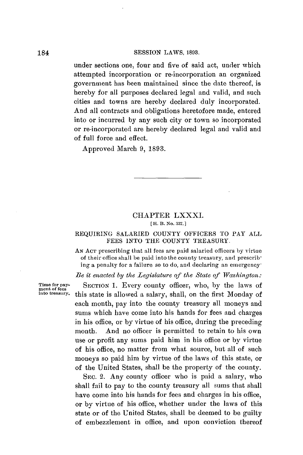#### **SESSION** LAWS, **1893.**

under sections one, four and five of said act, under which attempted incorporation or re-incorporation an organized government has been maintained since the date thereof, is hereby for all purposes declared legal and valid, and such cities and towns are hereby declared duly incorporated. And all contracts and obligations heretofore made, entered into or incurred **by** any such city or town so incorporated or re-incorporated are hereby declared legal and valid and of full force and effect.

Approved March **9, 1893.**

# CHAPTER LXXXI.

**[ H. B. No. 337. ]**

### REQUIRING SALARIED COUNTY OFFICERS **TO** PAY **ALL FEES INTO** THE **COUNTY** TREASURY.

**AN ACT** prescribing that all fees are paid salaried officers **by** virtue of their office shall be paid into the county treasury, and prescribing a penalty for a failure so to do, and declaring an emergency-

*Be it enacted by* the *Legislature of the State of Washington:*

**Time for pay- SECTION 1.** Every county officer, who, **by** the laws of **ment of fees into treasury.** this state is allowed a salary, shall, on the first Monday of each month, pay into the county treasury all moneys and sums which have come into his hands for fees and charges in his office, or **by** virtue of his office, during the preceding month. And no officer is permitted to retain to his own use or profit any sums paid him in his office or **by** virtue of his office, no matter from what source, but all of such moneys so paid him **by** virtue of the laws of this state, or of the United States, shall be the property of the county.

> SEC. 2. Any county officer who is paid a salary, who shall fail to pay to the county treasury all sums that shall have come into his hands for fees and charges in his office, or **by** virtue of his office, whether under the laws of this state or of the United States, shall **be** deemed to be guilty of embezzlement in office, and upon conviction thereof